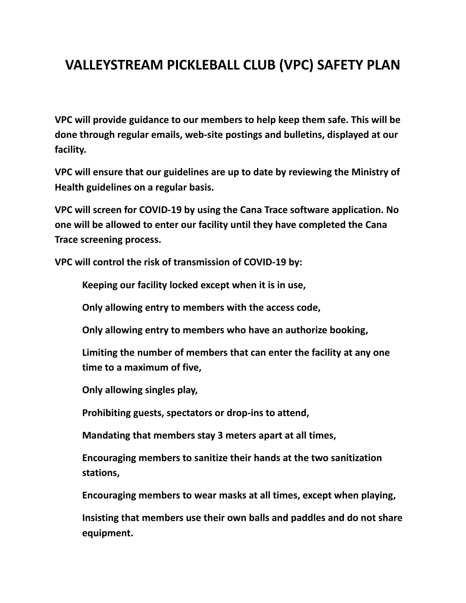## **VALLEYSTREAM PICKLEBALL CLUB (VPC) SAFETY PLAN**

**VPC will provide guidance to our members to help keep them safe. This will be done through regular emails, web-site postings and bulletins, displayed at our facility.**

**VPC will ensure that our guidelines are up to date by reviewing the Ministry of Health guidelines on a regular basis.**

**VPC will screen for COVID-19 by using the Cana Trace software application. No one will be allowed to enter our facility until they have completed the Cana Trace screening process.**

**VPC will control the risk of transmission of COVID-19 by:**

**Keeping our facility locked except when it is in use,**

**Only allowing entry to members with the access code,**

**Only allowing entry to members who have an authorize booking,**

**Limiting the number of members that can enter the facility at any one time to a maximum of five,**

**Only allowing singles play,**

**Prohibiting guests, spectators or drop-ins to attend,**

**Mandating that members stay 3 meters apart at all times,**

**Encouraging members to sanitize their hands at the two sanitization stations,**

**Encouraging members to wear masks at all times, except when playing,**

**Insisting that members use their own balls and paddles and do not share equipment.**